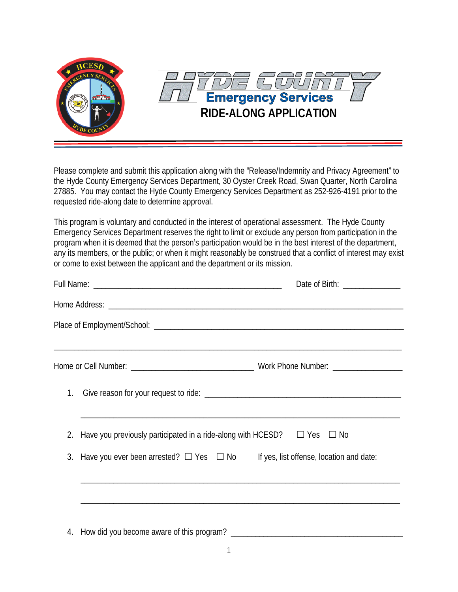

Please complete and submit this application along with the "Release/Indemnity and Privacy Agreement" to the Hyde County Emergency Services Department, 30 Oyster Creek Road, Swan Quarter, North Carolina 27885. You may contact the Hyde County Emergency Services Department as 252-926-4191 prior to the requested ride-along date to determine approval.

This program is voluntary and conducted in the interest of operational assessment. The Hyde County Emergency Services Department reserves the right to limit or exclude any person from participation in the program when it is deemed that the person's participation would be in the best interest of the department, any its members, or the public; or when it might reasonably be construed that a conflict of interest may exist or come to exist between the applicant and the department or its mission.

| Date of Birth: ________________                                                                                       |
|-----------------------------------------------------------------------------------------------------------------------|
|                                                                                                                       |
|                                                                                                                       |
|                                                                                                                       |
|                                                                                                                       |
| 2. Have you previously participated in a ride-along with HCESD? $\square$ Yes $\square$ No                            |
| 3. Have you ever been arrested? $\Box$ Yes $\Box$ No If yes, list offense, location and date:                         |
| <u> 1989 - Johann Stoff, deutscher Stoff, der Stoff, der Stoff, der Stoff, der Stoff, der Stoff, der Stoff, der S</u> |
|                                                                                                                       |